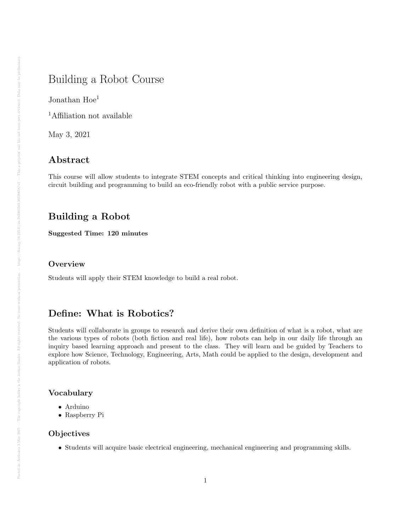# Building a Robot Course

Jonathan Hoe<sup>1</sup>

<sup>1</sup>Affiliation not available

May 3, 2021

# Abstract

This course will allow students to integrate STEM concepts and critical thinking into engineering design, circuit building and programming to build an eco-friendly robot with a public service purpose.

# Building a Robot

Suggested Time: 120 minutes

### **Overview**

Students will apply their STEM knowledge to build a real robot.

## Define: What is Robotics?

Students will collaborate in groups to research and derive their own definition of what is a robot, what are the various types of robots (both fiction and real life), how robots can help in our daily life through an inquiry based learning approach and present to the class. They will learn and be guided by Teachers to explore how Science, Technology, Engineering, Arts, Math could be applied to the design, development and application of robots.

### Vocabulary

- Arduino
- Raspberry Pi

#### Objectives

• Students will acquire basic electrical engineering, mechanical engineering and programming skills.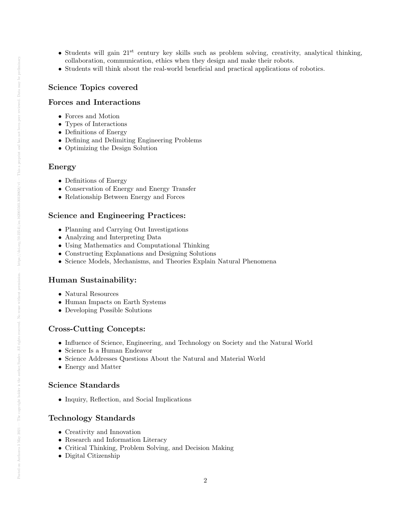- Students will gain  $21^{st}$  century key skills such as problem solving, creativity, analytical thinking, collaboration, communication, ethics when they design and make their robots.
- Students will think about the real-world beneficial and practical applications of robotics.

#### Science Topics covered

#### Forces and Interactions

- Forces and Motion
- Types of Interactions
- Definitions of Energy
- Defining and Delimiting Engineering Problems
- Optimizing the Design Solution

#### Energy

- Definitions of Energy
- Conservation of Energy and Energy Transfer
- Relationship Between Energy and Forces

#### Science and Engineering Practices:

- Planning and Carrying Out Investigations
- Analyzing and Interpreting Data
- Using Mathematics and Computational Thinking
- Constructing Explanations and Designing Solutions
- Science Models, Mechanisms, and Theories Explain Natural Phenomena

### Human Sustainability:

- Natural Resources
- Human Impacts on Earth Systems
- Developing Possible Solutions

#### Cross-Cutting Concepts:

- Influence of Science, Engineering, and Technology on Society and the Natural World
- Science Is a Human Endeavor
- Science Addresses Questions About the Natural and Material World
- Energy and Matter

#### Science Standards

• Inquiry, Reflection, and Social Implications

#### Technology Standards

- Creativity and Innovation
- Research and Information Literacy
- Critical Thinking, Problem Solving, and Decision Making
- Digital Citizenship